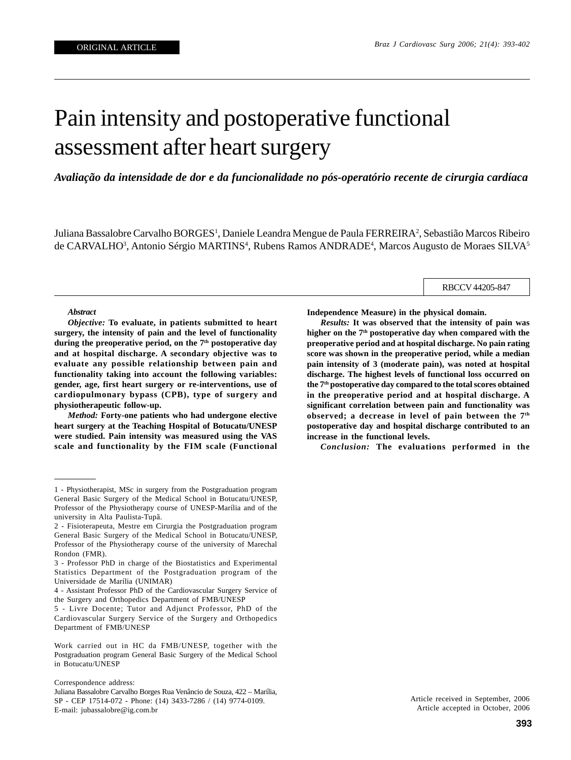# Pain intensity and postoperative functional assessment after heart surgery

*Avaliação da intensidade de dor e da funcionalidade no pós-operatório recente de cirurgia cardíaca*

Juliana Bassalobre Carvalho BORGES<sup>1</sup>, Daniele Leandra Mengue de Paula FERREIRA<sup>2</sup>, Sebastião Marcos Ribeiro de CARVALHO<sup>3</sup>, Antonio Sérgio MARTINS<sup>4</sup>, Rubens Ramos ANDRADE<sup>4</sup>, Marcos Augusto de Moraes SILVA<sup>5</sup>

RBCCV 44205-847

#### *Abstract*

*Objective:* **To evaluate, in patients submitted to heart surgery, the intensity of pain and the level of functionality** during the preoperative period, on the 7<sup>th</sup> postoperative day **and at hospital discharge. A secondary objective was to evaluate any possible relationship between pain and functionality taking into account the following variables: gender, age, first heart surgery or re-interventions, use of cardiopulmonary bypass (CPB), type of surgery and physiotherapeutic follow-up.**

*Method:* **Forty-one patients who had undergone elective heart surgery at the Teaching Hospital of Botucatu/UNESP were studied. Pain intensity was measured using the VAS scale and functionality by the FIM scale (Functional**

Work carried out in HC da FMB/UNESP, together with the Postgraduation program General Basic Surgery of the Medical School in Botucatu/UNESP

**Independence Measure) in the physical domain.**

*Results:* **It was observed that the intensity of pain was higher on the 7th postoperative day when compared with the preoperative period and at hospital discharge. No pain rating score was shown in the preoperative period, while a median pain intensity of 3 (moderate pain), was noted at hospital discharge. The highest levels of functional loss occurred on the 7th postoperative day compared to the total scores obtained in the preoperative period and at hospital discharge. A significant correlation between pain and functionality was observed; a decrease in level of pain between the 7th postoperative day and hospital discharge contributed to an increase in the functional levels.**

*Conclusion:* **The evaluations performed in the**

Article received in September, 2006 Article accepted in October, 2006

<sup>1 -</sup> Physiotherapist, MSc in surgery from the Postgraduation program General Basic Surgery of the Medical School in Botucatu/UNESP, Professor of the Physiotherapy course of UNESP-Marília and of the university in Alta Paulista-Tupã.

<sup>2 -</sup> Fisioterapeuta, Mestre em Cirurgia the Postgraduation program General Basic Surgery of the Medical School in Botucatu/UNESP, Professor of the Physiotherapy course of the university of Marechal Rondon (FMR).

<sup>3 -</sup> Professor PhD in charge of the Biostatistics and Experimental Statistics Department of the Postgraduation program of the Universidade de Marília (UNIMAR)

<sup>4 -</sup> Assistant Professor PhD of the Cardiovascular Surgery Service of the Surgery and Orthopedics Department of FMB/UNESP

<sup>5 -</sup> Livre Docente; Tutor and Adjunct Professor, PhD of the Cardiovascular Surgery Service of the Surgery and Orthopedics Department of FMB/UNESP

Correspondence address:

Juliana Bassalobre Carvalho Borges Rua Venâncio de Souza, 422 – Marília, SP - CEP 17514-072 - Phone: (14) 3433-7286 / (14) 9774-0109. E-mail: jubassalobre@ig.com.br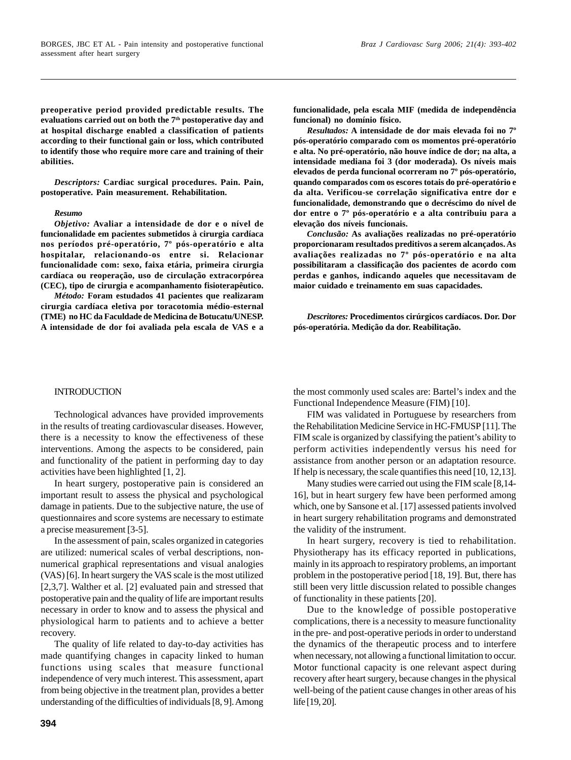**preoperative period provided predictable results. The evaluations carried out on both the 7th postoperative day and at hospital discharge enabled a classification of patients according to their functional gain or loss, which contributed to identify those who require more care and training of their abilities.**

*Descriptors:* **Cardiac surgical procedures. Pain. Pain, postoperative. Pain measurement. Rehabilitation.**

#### *Resumo*

*Objetivo:* **Avaliar a intensidade de dor e o nível de funcionalidade em pacientes submetidos à cirurgia cardíaca nos períodos pré-operatório, 7º pós-operatório e alta hospitalar, relacionando-os entre si. Relacionar funcionalidade com: sexo, faixa etária, primeira cirurgia cardíaca ou reoperação, uso de circulação extracorpórea (CEC), tipo de cirurgia e acompanhamento fisioterapêutico.**

*Método:* **Foram estudados 41 pacientes que realizaram cirurgia cardíaca eletiva por toracotomia médio-esternal (TME) no HC da Faculdade de Medicina de Botucatu/UNESP. A intensidade de dor foi avaliada pela escala de VAS e a** **funcionalidade, pela escala MIF (medida de independência funcional) no domínio físico.**

*Resultados:* **A intensidade de dor mais elevada foi no 7º pós-operatório comparado com os momentos pré-operatório e alta. No pré-operatório, não houve índice de dor; na alta, a intensidade mediana foi 3 (dor moderada). Os níveis mais elevados de perda funcional ocorreram no 7º pós-operatório, quando comparados com os escores totais do pré-operatório e da alta. Verificou-se correlação significativa entre dor e funcionalidade, demonstrando que o decréscimo do nível de dor entre o 7º pós-operatório e a alta contribuiu para a elevação dos níveis funcionais.**

*Conclusão:* **As avaliações realizadas no pré-operatório proporcionaram resultados preditivos a serem alcançados. As avaliações realizadas no 7º pós-operatório e na alta possibilitaram a classificação dos pacientes de acordo com perdas e ganhos, indicando aqueles que necessitavam de maior cuidado e treinamento em suas capacidades.**

*Descritores:* **Procedimentos cirúrgicos cardíacos. Dor. Dor pós-operatória. Medição da dor. Reabilitação.**

## **INTRODUCTION**

Technological advances have provided improvements in the results of treating cardiovascular diseases. However, there is a necessity to know the effectiveness of these interventions. Among the aspects to be considered, pain and functionality of the patient in performing day to day activities have been highlighted [1, 2].

In heart surgery, postoperative pain is considered an important result to assess the physical and psychological damage in patients. Due to the subjective nature, the use of questionnaires and score systems are necessary to estimate a precise measurement [3-5].

In the assessment of pain, scales organized in categories are utilized: numerical scales of verbal descriptions, nonnumerical graphical representations and visual analogies (VAS) [6]. In heart surgery the VAS scale is the most utilized [2,3,7]. Walther et al. [2] evaluated pain and stressed that postoperative pain and the quality of life are important results necessary in order to know and to assess the physical and physiological harm to patients and to achieve a better recovery.

The quality of life related to day-to-day activities has made quantifying changes in capacity linked to human functions using scales that measure functional independence of very much interest. This assessment, apart from being objective in the treatment plan, provides a better understanding of the difficulties of individuals [8, 9]. Among the most commonly used scales are: Bartel's index and the Functional Independence Measure (FIM) [10].

FIM was validated in Portuguese by researchers from the Rehabilitation Medicine Service in HC-FMUSP [11]. The FIM scale is organized by classifying the patient's ability to perform activities independently versus his need for assistance from another person or an adaptation resource. If help is necessary, the scale quantifies this need [10, 12,13].

Many studies were carried out using the FIM scale [8,14- 16], but in heart surgery few have been performed among which, one by Sansone et al. [17] assessed patients involved in heart surgery rehabilitation programs and demonstrated the validity of the instrument.

In heart surgery, recovery is tied to rehabilitation. Physiotherapy has its efficacy reported in publications, mainly in its approach to respiratory problems, an important problem in the postoperative period [18, 19]. But, there has still been very little discussion related to possible changes of functionality in these patients [20].

Due to the knowledge of possible postoperative complications, there is a necessity to measure functionality in the pre- and post-operative periods in order to understand the dynamics of the therapeutic process and to interfere when necessary, not allowing a functional limitation to occur. Motor functional capacity is one relevant aspect during recovery after heart surgery, because changes in the physical well-being of the patient cause changes in other areas of his life [19, 20].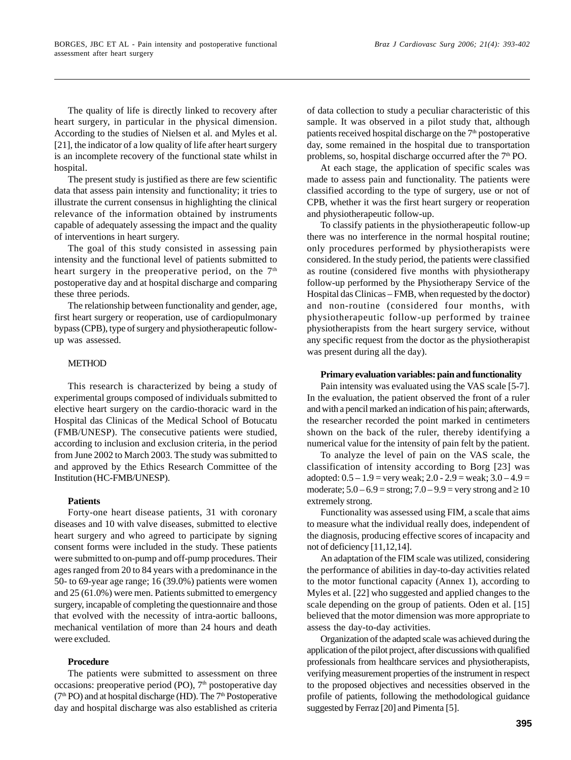The quality of life is directly linked to recovery after heart surgery, in particular in the physical dimension. According to the studies of Nielsen et al. and Myles et al. [21], the indicator of a low quality of life after heart surgery is an incomplete recovery of the functional state whilst in hospital.

The present study is justified as there are few scientific data that assess pain intensity and functionality; it tries to illustrate the current consensus in highlighting the clinical relevance of the information obtained by instruments capable of adequately assessing the impact and the quality of interventions in heart surgery.

The goal of this study consisted in assessing pain intensity and the functional level of patients submitted to heart surgery in the preoperative period, on the  $7<sup>th</sup>$ postoperative day and at hospital discharge and comparing these three periods.

The relationship between functionality and gender, age, first heart surgery or reoperation, use of cardiopulmonary bypass (CPB), type of surgery and physiotherapeutic followup was assessed.

## **METHOD**

This research is characterized by being a study of experimental groups composed of individuals submitted to elective heart surgery on the cardio-thoracic ward in the Hospital das Clinicas of the Medical School of Botucatu (FMB/UNESP). The consecutive patients were studied, according to inclusion and exclusion criteria, in the period from June 2002 to March 2003. The study was submitted to and approved by the Ethics Research Committee of the Institution (HC-FMB/UNESP).

#### **Patients**

Forty-one heart disease patients, 31 with coronary diseases and 10 with valve diseases, submitted to elective heart surgery and who agreed to participate by signing consent forms were included in the study. These patients were submitted to on-pump and off-pump procedures. Their ages ranged from 20 to 84 years with a predominance in the 50- to 69-year age range; 16 (39.0%) patients were women and 25 (61.0%) were men. Patients submitted to emergency surgery, incapable of completing the questionnaire and those that evolved with the necessity of intra-aortic balloons, mechanical ventilation of more than 24 hours and death were excluded.

## **Procedure**

The patients were submitted to assessment on three occasions: preoperative period (PO),  $7<sup>th</sup>$  postoperative day  $(7<sup>th</sup> PO)$  and at hospital discharge (HD). The  $7<sup>th</sup>$  Postoperative day and hospital discharge was also established as criteria of data collection to study a peculiar characteristic of this sample. It was observed in a pilot study that, although patients received hospital discharge on the  $7<sup>th</sup>$  postoperative day, some remained in the hospital due to transportation problems, so, hospital discharge occurred after the  $7<sup>th</sup>$  PO.

At each stage, the application of specific scales was made to assess pain and functionality. The patients were classified according to the type of surgery, use or not of CPB, whether it was the first heart surgery or reoperation and physiotherapeutic follow-up.

To classify patients in the physiotherapeutic follow-up there was no interference in the normal hospital routine; only procedures performed by physiotherapists were considered. In the study period, the patients were classified as routine (considered five months with physiotherapy follow-up performed by the Physiotherapy Service of the Hospital das Clinicas – FMB, when requested by the doctor) and non-routine (considered four months, with physiotherapeutic follow-up performed by trainee physiotherapists from the heart surgery service, without any specific request from the doctor as the physiotherapist was present during all the day).

#### **Primary evaluation variables: pain and functionality**

Pain intensity was evaluated using the VAS scale [5-7]. In the evaluation, the patient observed the front of a ruler and with a pencil marked an indication of his pain; afterwards, the researcher recorded the point marked in centimeters shown on the back of the ruler, thereby identifying a numerical value for the intensity of pain felt by the patient.

To analyze the level of pain on the VAS scale, the classification of intensity according to Borg [23] was adopted:  $0.5 - 1.9$  = very weak;  $2.0 - 2.9$  = weak;  $3.0 - 4.9$  = moderate;  $5.0 - 6.9$  = strong;  $7.0 - 9.9$  = very strong and  $\geq 10$ extremely strong.

Functionality was assessed using FIM, a scale that aims to measure what the individual really does, independent of the diagnosis, producing effective scores of incapacity and not of deficiency [11,12,14].

An adaptation of the FIM scale was utilized, considering the performance of abilities in day-to-day activities related to the motor functional capacity (Annex 1), according to Myles et al. [22] who suggested and applied changes to the scale depending on the group of patients. Oden et al. [15] believed that the motor dimension was more appropriate to assess the day-to-day activities.

Organization of the adapted scale was achieved during the application of the pilot project, after discussions with qualified professionals from healthcare services and physiotherapists, verifying measurement properties of the instrument in respect to the proposed objectives and necessities observed in the profile of patients, following the methodological guidance suggested by Ferraz [20] and Pimenta [5].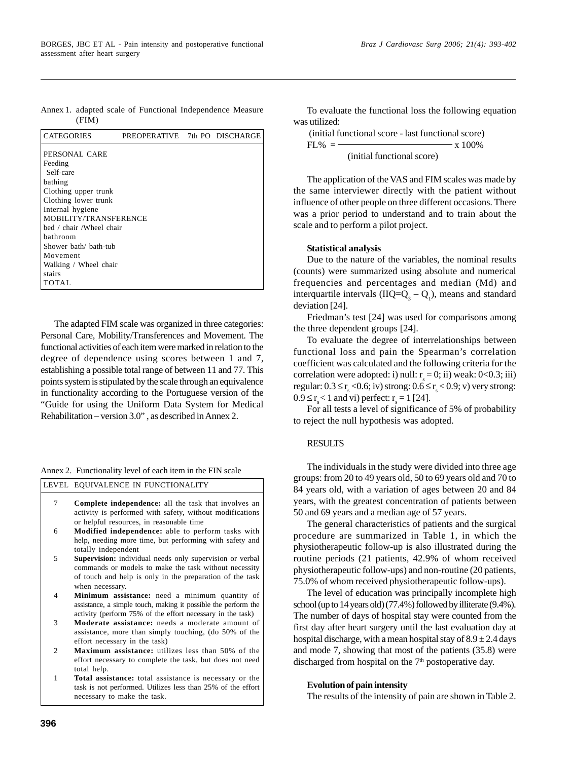Annex 1. adapted scale of Functional Independence Measure (FIM)

| <b>CATEGORIES</b>        | PREOPERATIVE 7th PO DISCHARGE |  |
|--------------------------|-------------------------------|--|
| PERSONAL CARE            |                               |  |
| Feeding                  |                               |  |
| Self-care                |                               |  |
| bathing                  |                               |  |
| Clothing upper trunk     |                               |  |
| Clothing lower trunk     |                               |  |
| Internal hygiene         |                               |  |
| MOBILITY/TRANSFERENCE    |                               |  |
| hed / chair /Wheel chair |                               |  |
| hathroom                 |                               |  |
| Shower bath/ bath-tub    |                               |  |
| Movement                 |                               |  |
| Walking / Wheel chair    |                               |  |
| stairs                   |                               |  |
| TOTAL                    |                               |  |

The adapted FIM scale was organized in three categories: Personal Care, Mobility/Transferences and Movement. The functional activities of each item were marked in relation to the degree of dependence using scores between 1 and 7, establishing a possible total range of between 11 and 77. This points system is stipulated by the scale through an equivalence in functionality according to the Portuguese version of the "Guide for using the Uniform Data System for Medical Rehabilitation – version 3.0" , as described in Annex 2.

LEVEL EQUIVALENCE IN FUNCTIONALITY

| <b>Complete independence:</b> all the task that involves an |
|-------------------------------------------------------------|
| activity is performed with safety, without modifications    |
| or helpful resources, in reasonable time                    |
|                                                             |

- **Modified independence:** able to perform tasks with help, needing more time, but performing with safety and totally independent 6
- **Supervision:** individual needs only supervision or verbal commands or models to make the task without necessity of touch and help is only in the preparation of the task when necessary. 5
- **Minimum assistance:** need a minimum quantity of assistance, a simple touch, making it possible the perform the activity (perform 75% of the effort necessary in the task) 4
- **Moderate assistance:** needs a moderate amount of assistance, more than simply touching, (do 50% of the effort necessary in the task) 3
- **Maximum assistance:** utilizes less than 50% of the effort necessary to complete the task, but does not need total help.  $\mathfrak{D}$
- **Total assistance:** total assistance is necessary or the task is not performed. Utilizes less than 25% of the effort necessary to make the task. 1

To evaluate the functional loss the following equation was utilized:

 (initial functional score - last functional score)  $FL\% =$   $\times 100\%$ (initial functional score)

The application of the VAS and FIM scales was made by the same interviewer directly with the patient without influence of other people on three different occasions. There was a prior period to understand and to train about the scale and to perform a pilot project.

## **Statistical analysis**

Due to the nature of the variables, the nominal results (counts) were summarized using absolute and numerical frequencies and percentages and median (Md) and interquartile intervals ( $IIQ = Q_3 - Q_1$ ), means and standard deviation [24].

Friedman's test [24] was used for comparisons among the three dependent groups [24].

To evaluate the degree of interrelationships between functional loss and pain the Spearman's correlation coefficient was calculated and the following criteria for the correlation were adopted: i) null:  $r_s = 0$ ; ii) weak: 0<0.3; iii) regular:  $0.3 \le r_s < 0.6$ ; iv) strong:  $0.6 \le r_s < 0.9$ ; v) very strong:  $0.9 \le r_s < 1$  and vi) perfect:  $r_s = 1$  [24].

For all tests a level of significance of 5% of probability to reject the null hypothesis was adopted.

# RESULTS

The individuals in the study were divided into three age groups: from 20 to 49 years old, 50 to 69 years old and 70 to 84 years old, with a variation of ages between 20 and 84 years, with the greatest concentration of patients between 50 and 69 years and a median age of 57 years.

The general characteristics of patients and the surgical procedure are summarized in Table 1, in which the physiotherapeutic follow-up is also illustrated during the routine periods (21 patients, 42.9% of whom received physiotherapeutic follow-ups) and non-routine (20 patients, 75.0% of whom received physiotherapeutic follow-ups).

The level of education was principally incomplete high school (up to 14 years old) (77.4%) followed by illiterate (9.4%). The number of days of hospital stay were counted from the first day after heart surgery until the last evaluation day at hospital discharge, with a mean hospital stay of  $8.9 \pm 2.4$  days and mode 7, showing that most of the patients (35.8) were discharged from hospital on the 7<sup>th</sup> postoperative day.

# **Evolution of pain intensity**

The results of the intensity of pain are shown in Table 2.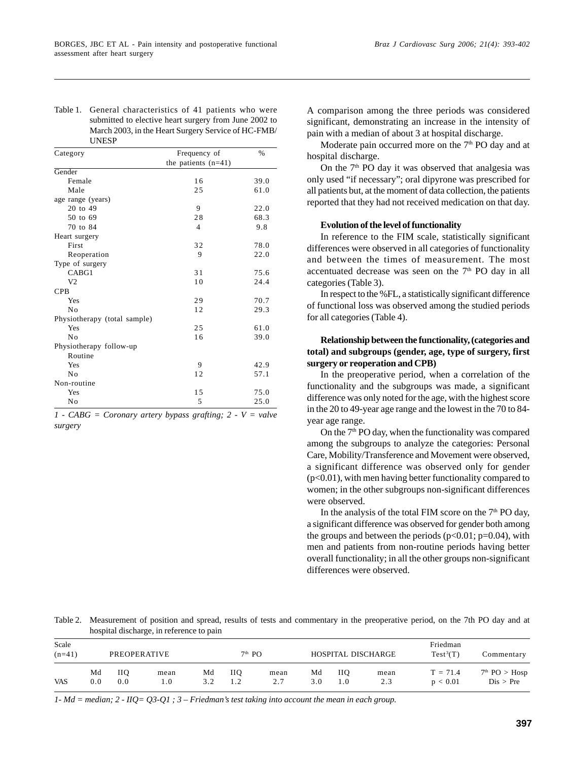Table 1. General characteristics of 41 patients who were submitted to elective heart surgery from June 2002 to March 2003, in the Heart Surgery Service of HC-FMB/ UNESP

| Category                     | Frequency of          | $\frac{0}{0}$ |
|------------------------------|-----------------------|---------------|
|                              | the patients $(n=41)$ |               |
| Gender                       |                       |               |
| Female                       | 16                    | 39.0          |
| Male                         | 25                    | 61.0          |
| age range (years)            |                       |               |
| 20 to 49                     | 9                     | 22.0          |
| 50 to 69                     | 28                    | 68.3          |
| 70 to 84                     | $\overline{4}$        | 9.8           |
| Heart surgery                |                       |               |
| First                        | 32                    | 78.0          |
| Reoperation                  | 9                     | 22.0          |
| Type of surgery              |                       |               |
| CABG1                        | 31                    | 75.6          |
| V <sub>2</sub>               | 1 <sub>0</sub>        | 24.4          |
| <b>CPB</b>                   |                       |               |
| Yes                          | 29                    | 70.7          |
| No                           | 12                    | 29.3          |
| Physiotherapy (total sample) |                       |               |
| Yes                          | 25                    | 61.0          |
| No                           | 16                    | 39.0          |
| Physiotherapy follow-up      |                       |               |
| Routine                      |                       |               |
| Yes                          | 9                     | 42.9          |
| No                           | 12                    | 57.1          |
| Non-routine                  |                       |               |
| Yes                          | 15                    | 75.0          |
| No                           | 5                     | 25.0          |

*1 - CABG = Coronary artery bypass grafting; 2 - V = valve surgery*

A comparison among the three periods was considered significant, demonstrating an increase in the intensity of pain with a median of about 3 at hospital discharge.

Moderate pain occurred more on the 7<sup>th</sup> PO day and at hospital discharge.

On the  $7<sup>th</sup>$  PO day it was observed that analgesia was only used "if necessary"; oral dipyrone was prescribed for all patients but, at the moment of data collection, the patients reported that they had not received medication on that day.

## **Evolution of the level of functionality**

In reference to the FIM scale, statistically significant differences were observed in all categories of functionality and between the times of measurement. The most accentuated decrease was seen on the  $7<sup>th</sup>$  PO day in all categories (Table 3).

In respect to the %FL, a statistically significant difference of functional loss was observed among the studied periods for all categories (Table 4).

# **Relationship between the functionality, (categories and total) and subgroups (gender, age, type of surgery, first surgery or reoperation and CPB)**

In the preoperative period, when a correlation of the functionality and the subgroups was made, a significant difference was only noted for the age, with the highest score in the 20 to 49-year age range and the lowest in the 70 to 84 year age range.

On the 7th PO day, when the functionality was compared among the subgroups to analyze the categories: Personal Care, Mobility/Transference and Movement were observed, a significant difference was observed only for gender (p<0.01), with men having better functionality compared to women; in the other subgroups non-significant differences were observed.

In the analysis of the total FIM score on the  $7<sup>th</sup>$  PO day, a significant difference was observed for gender both among the groups and between the periods  $(p<0.01; p=0.04)$ , with men and patients from non-routine periods having better overall functionality; in all the other groups non-significant differences were observed.

Table 2. Measurement of position and spread, results of tests and commentary in the preoperative period, on the 7th PO day and at hospital discharge, in reference to pain

| Scale<br>$(n=41)$ | PREOPERATIVE |                   |             |           | $7th$ PO   |             |           |           | HOSPITAL DISCHARGE | Friedman<br>$Test^3(T)$ | Commentary                             |
|-------------------|--------------|-------------------|-------------|-----------|------------|-------------|-----------|-----------|--------------------|-------------------------|----------------------------------------|
| <b>VAS</b>        | Md<br>0.0    | <b>IIO</b><br>0.0 | mean<br>1.0 | Md<br>3.2 | <b>IIO</b> | mean<br>2.7 | Md<br>3.0 | HО<br>1.0 | mean<br>2.3        | $T = 71.4$<br>p < 0.01  | 7 <sup>th</sup> PO > Hosp<br>Dis > Pre |

*1- Md = median; 2 - IIQ= Q3-Q1 ; 3 – Friedman's test taking into account the mean in each group.*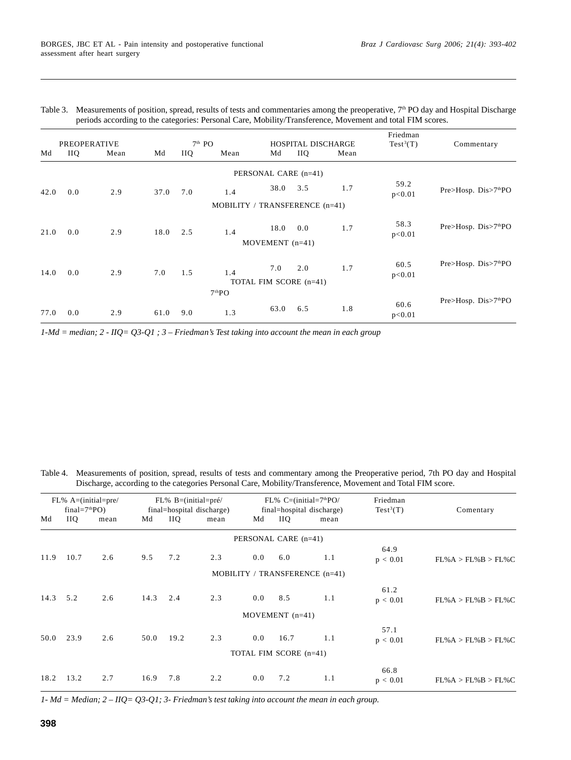| <b>PREOPERATIVE</b> |            |      |      | $7th$ PO<br>HOSPITAL DISCHARGE |                                |                        |            | Friedman<br>$Test^3(T)$ | Commentary     |                                    |
|---------------------|------------|------|------|--------------------------------|--------------------------------|------------------------|------------|-------------------------|----------------|------------------------------------|
| Md                  | <b>IIQ</b> | Mean | Md   | IIQ.                           | Mean                           | Md                     | <b>IIQ</b> | Mean                    |                |                                    |
|                     |            |      |      |                                |                                | PERSONAL CARE (n=41)   |            |                         |                |                                    |
| 42.0                | 0.0        | 2.9  | 37.0 | 7.0                            | 1.4                            | 38.0                   | 3.5        | 1.7                     | 59.2<br>p<0.01 | Pre>Hosp. Dis>7 <sup>th</sup> PO   |
|                     |            |      |      |                                | MOBILITY / TRANSFERENCE (n=41) |                        |            |                         |                |                                    |
| 21.0                | 0.0        | 2.9  | 18.0 | 2.5                            | 1.4                            | 18.0                   | 0.0        | 1.7                     | 58.3<br>p<0.01 | Pre>Hosp. Dis>7 <sup>th</sup> PO   |
|                     |            |      |      |                                |                                | MOVEMENT $(n=41)$      |            |                         |                |                                    |
| 14.0                | 0.0        | 2.9  | 7.0  | 1.5                            | 1.4                            | 7.0                    | 2.0        | 1.7                     | 60.5<br>p<0.01 | Pre> Hosp. Dis> 7 <sup>th</sup> PO |
|                     |            |      |      |                                | 7 <sup>th</sup> PO             | TOTAL FIM SCORE (n=41) |            |                         |                |                                    |
| 77.0                | 0.0        | 2.9  | 61.0 | 9.0                            | 1.3                            | 63.0                   | 6.5        | 1.8                     | 60.6<br>p<0.01 | Pre>Hosp. Dis>7 <sup>th</sup> PO   |

| Table 3. Measurements of position, spread, results of tests and commentaries among the preoperative, 7 <sup>th</sup> PO day and Hospital Discharge |
|----------------------------------------------------------------------------------------------------------------------------------------------------|
| periods according to the categories: Personal Care, Mobility/Transference, Movement and total FIM scores.                                          |

*1-Md = median; 2 - IIQ= Q3-Q1 ; 3 – Friedman's Test taking into account the mean in each group*

Table 4. Measurements of position, spread, results of tests and commentary among the Preoperative period, 7th PO day and Hospital Discharge, according to the categories Personal Care, Mobility/Transference, Movement and Total FIM score.

| $FL%$ A=(initial=pre/<br>final= $7thPO$ ) |      | $FL\% B = (initial = pr\acute{e}/$<br>final=hospital discharge) |      |      | $FL\%$ C=(initial=7 <sup>th</sup> PO/<br>final=hospital discharge) |     |                        | Friedman<br>$Test^3(T)$        | Comentary        |                    |
|-------------------------------------------|------|-----------------------------------------------------------------|------|------|--------------------------------------------------------------------|-----|------------------------|--------------------------------|------------------|--------------------|
| Md                                        | IIQ. | mean                                                            | Md   | IIQ. | mean                                                               | Md  | IIQ.                   | mean                           |                  |                    |
|                                           |      |                                                                 |      |      |                                                                    |     | PERSONAL CARE (n=41)   |                                |                  |                    |
| 11.9                                      | 10.7 | 2.6                                                             | 9.5  | 7.2  | 2.3                                                                | 0.0 | 6.0                    | 1.1                            | 64.9<br>p < 0.01 | FL%A > FL%B > FL%C |
|                                           |      |                                                                 |      |      |                                                                    |     |                        | MOBILITY / TRANSFERENCE (n=41) |                  |                    |
| 14.3                                      | 5.2  | 2.6                                                             | 14.3 | 2.4  | 2.3                                                                | 0.0 | 8.5                    | 1.1                            | 61.2<br>p < 0.01 | FL%A > FL%B > FL%C |
|                                           |      |                                                                 |      |      |                                                                    |     | MOVEMENT $(n=41)$      |                                |                  |                    |
| 50.0                                      | 23.9 | 2.6                                                             | 50.0 | 19.2 | 2.3                                                                | 0.0 | 16.7                   | 1.1                            | 57.1<br>p < 0.01 | FL%A > FL%B > FL%C |
|                                           |      |                                                                 |      |      |                                                                    |     | TOTAL FIM SCORE (n=41) |                                |                  |                    |
| 18.2                                      | 13.2 | 2.7                                                             | 16.9 | 7.8  | 2.2                                                                | 0.0 | 7.2                    | 1.1                            | 66.8<br>p < 0.01 | FL%A > FL%B > FL%C |

*1- Md = Median; 2 – IIQ= Q3-Q1; 3- Friedman's test taking into account the mean in each group.*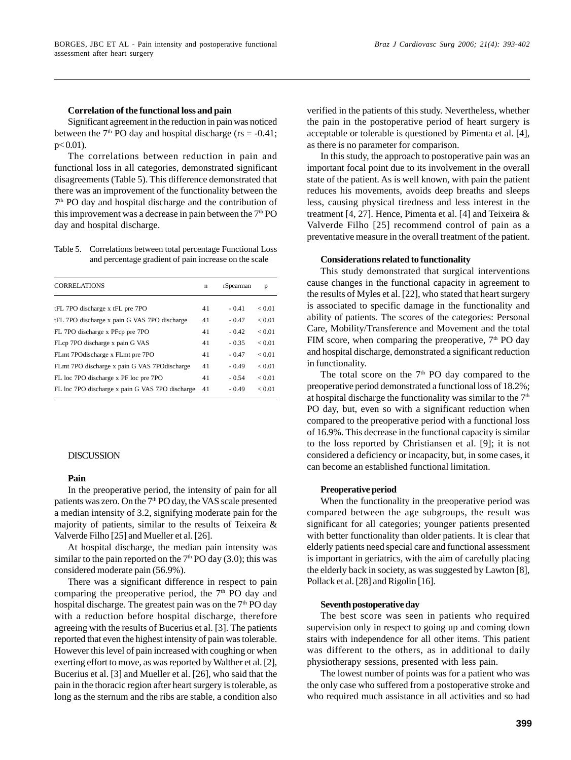## **Correlation of the functional loss and pain**

Significant agreement in the reduction in pain was noticed between the  $7<sup>th</sup>$  PO day and hospital discharge (rs = -0.41;  $p< 0.01$ ).

The correlations between reduction in pain and functional loss in all categories, demonstrated significant disagreements (Table 5). This difference demonstrated that there was an improvement of the functionality between the 7th PO day and hospital discharge and the contribution of this improvement was a decrease in pain between the  $7<sup>th</sup>$  PO day and hospital discharge.

Table 5. Correlations between total percentage Functional Loss and percentage gradient of pain increase on the scale

| <b>CORRELATIONS</b>                             | $\mathbf n$ | rSpearman | p          |
|-------------------------------------------------|-------------|-----------|------------|
|                                                 |             |           |            |
| tFL 7PO discharge x tFL pre 7PO                 | 41          | $-0.41$   | < 0.01     |
| tFL 7PO discharge x pain G VAS 7PO discharge    | 41          | $-0.47$   | < 0.01     |
| FL 7PO discharge x PFcp pre 7PO                 | 41          | $-0.42$   | < 0.01     |
| FLcp 7PO discharge x pain G VAS                 | 41          | $-0.35$   | < 0.01     |
| FLmt 7POdischarge x FLmt pre 7PO                | 41          | $-0.47$   | ${}< 0.01$ |
| FLmt 7PO discharge x pain G VAS 7POdischarge    | 41          | $-0.49$   | < 0.01     |
| FL loc 7PO discharge x PF loc pre 7PO           | 41          | $-0.54$   | < 0.01     |
| FL loc 7PO discharge x pain G VAS 7PO discharge | 41          | $-0.49$   | < 0.01     |

#### DISCUSSION

## **Pain**

In the preoperative period, the intensity of pain for all patients was zero. On the 7<sup>th</sup> PO day, the VAS scale presented a median intensity of 3.2, signifying moderate pain for the majority of patients, similar to the results of Teixeira & Valverde Filho [25] and Mueller et al. [26].

At hospital discharge, the median pain intensity was similar to the pain reported on the  $7<sup>th</sup>$  PO day (3.0); this was considered moderate pain (56.9%).

There was a significant difference in respect to pain comparing the preoperative period, the  $7<sup>th</sup>$  PO day and hospital discharge. The greatest pain was on the  $7<sup>th</sup>$  PO day with a reduction before hospital discharge, therefore agreeing with the results of Bucerius et al. [3]. The patients reported that even the highest intensity of pain was tolerable. However this level of pain increased with coughing or when exerting effort to move, as was reported by Walther et al. [2], Bucerius et al. [3] and Mueller et al. [26], who said that the pain in the thoracic region after heart surgery is tolerable, as long as the sternum and the ribs are stable, a condition also verified in the patients of this study. Nevertheless, whether the pain in the postoperative period of heart surgery is acceptable or tolerable is questioned by Pimenta et al. [4], as there is no parameter for comparison.

In this study, the approach to postoperative pain was an important focal point due to its involvement in the overall state of the patient. As is well known, with pain the patient reduces his movements, avoids deep breaths and sleeps less, causing physical tiredness and less interest in the treatment [4, 27]. Hence, Pimenta et al. [4] and Teixeira & Valverde Filho [25] recommend control of pain as a preventative measure in the overall treatment of the patient.

#### **Considerations related to functionality**

This study demonstrated that surgical interventions cause changes in the functional capacity in agreement to the results of Myles et al. [22], who stated that heart surgery is associated to specific damage in the functionality and ability of patients. The scores of the categories: Personal Care, Mobility/Transference and Movement and the total FIM score, when comparing the preoperative,  $7<sup>th</sup>$  PO day and hospital discharge, demonstrated a significant reduction in functionality.

The total score on the  $7<sup>th</sup>$  PO day compared to the preoperative period demonstrated a functional loss of 18.2%; at hospital discharge the functionality was similar to the  $7<sup>th</sup>$ PO day, but, even so with a significant reduction when compared to the preoperative period with a functional loss of 16.9%. This decrease in the functional capacity is similar to the loss reported by Christiansen et al. [9]; it is not considered a deficiency or incapacity, but, in some cases, it can become an established functional limitation.

## **Preoperative period**

When the functionality in the preoperative period was compared between the age subgroups, the result was significant for all categories; younger patients presented with better functionality than older patients. It is clear that elderly patients need special care and functional assessment is important in geriatrics, with the aim of carefully placing the elderly back in society, as was suggested by Lawton [8], Pollack et al. [28] and Rigolin [16].

#### **Seventh postoperative day**

The best score was seen in patients who required supervision only in respect to going up and coming down stairs with independence for all other items. This patient was different to the others, as in additional to daily physiotherapy sessions, presented with less pain.

The lowest number of points was for a patient who was the only case who suffered from a postoperative stroke and who required much assistance in all activities and so had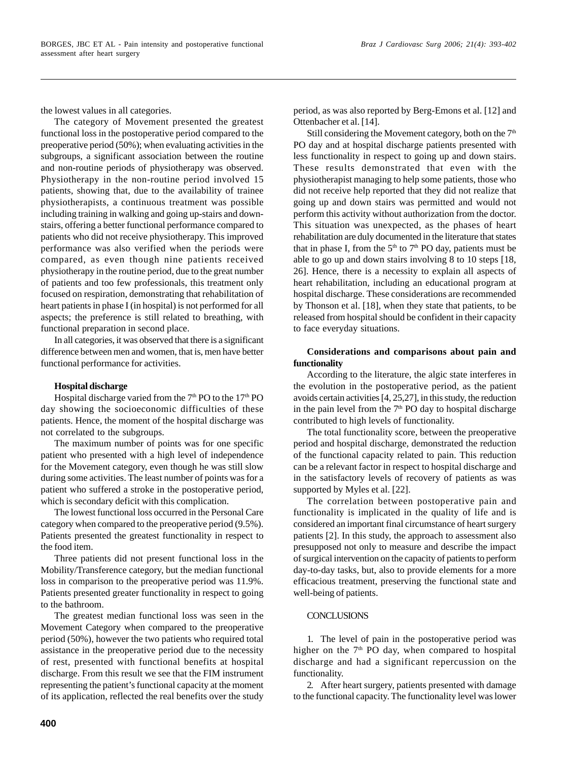the lowest values in all categories.

The category of Movement presented the greatest functional loss in the postoperative period compared to the preoperative period (50%); when evaluating activities in the subgroups, a significant association between the routine and non-routine periods of physiotherapy was observed. Physiotherapy in the non-routine period involved 15 patients, showing that, due to the availability of trainee physiotherapists, a continuous treatment was possible including training in walking and going up-stairs and downstairs, offering a better functional performance compared to patients who did not receive physiotherapy. This improved performance was also verified when the periods were compared, as even though nine patients received physiotherapy in the routine period, due to the great number of patients and too few professionals, this treatment only focused on respiration, demonstrating that rehabilitation of heart patients in phase I (in hospital) is not performed for all aspects; the preference is still related to breathing, with functional preparation in second place.

In all categories, it was observed that there is a significant difference between men and women, that is, men have better functional performance for activities.

# **Hospital discharge**

Hospital discharge varied from the  $7<sup>th</sup>$  PO to the  $17<sup>th</sup>$  PO day showing the socioeconomic difficulties of these patients. Hence, the moment of the hospital discharge was not correlated to the subgroups.

The maximum number of points was for one specific patient who presented with a high level of independence for the Movement category, even though he was still slow during some activities. The least number of points was for a patient who suffered a stroke in the postoperative period, which is secondary deficit with this complication.

The lowest functional loss occurred in the Personal Care category when compared to the preoperative period (9.5%). Patients presented the greatest functionality in respect to the food item.

Three patients did not present functional loss in the Mobility/Transference category, but the median functional loss in comparison to the preoperative period was 11.9%. Patients presented greater functionality in respect to going to the bathroom.

The greatest median functional loss was seen in the Movement Category when compared to the preoperative period (50%), however the two patients who required total assistance in the preoperative period due to the necessity of rest, presented with functional benefits at hospital discharge. From this result we see that the FIM instrument representing the patient's functional capacity at the moment of its application, reflected the real benefits over the study period, as was also reported by Berg-Emons et al. [12] and Ottenbacher et al. [14].

Still considering the Movement category, both on the  $7<sup>th</sup>$ PO day and at hospital discharge patients presented with less functionality in respect to going up and down stairs. These results demonstrated that even with the physiotherapist managing to help some patients, those who did not receive help reported that they did not realize that going up and down stairs was permitted and would not perform this activity without authorization from the doctor. This situation was unexpected, as the phases of heart rehabilitation are duly documented in the literature that states that in phase I, from the  $5<sup>th</sup>$  to  $7<sup>th</sup>$  PO day, patients must be able to go up and down stairs involving 8 to 10 steps [18, 26]. Hence, there is a necessity to explain all aspects of heart rehabilitation, including an educational program at hospital discharge. These considerations are recommended by Thonson et al. [18], when they state that patients, to be released from hospital should be confident in their capacity to face everyday situations.

# **Considerations and comparisons about pain and functionality**

According to the literature, the algic state interferes in the evolution in the postoperative period, as the patient avoids certain activities [4, 25,27], in this study, the reduction in the pain level from the  $7<sup>th</sup>$  PO day to hospital discharge contributed to high levels of functionality.

The total functionality score, between the preoperative period and hospital discharge, demonstrated the reduction of the functional capacity related to pain. This reduction can be a relevant factor in respect to hospital discharge and in the satisfactory levels of recovery of patients as was supported by Myles et al. [22].

The correlation between postoperative pain and functionality is implicated in the quality of life and is considered an important final circumstance of heart surgery patients [2]. In this study, the approach to assessment also presupposed not only to measure and describe the impact of surgical intervention on the capacity of patients to perform day-to-day tasks, but, also to provide elements for a more efficacious treatment, preserving the functional state and well-being of patients.

# **CONCLUSIONS**

1. The level of pain in the postoperative period was higher on the  $7<sup>th</sup>$  PO day, when compared to hospital discharge and had a significant repercussion on the functionality.

2. After heart surgery, patients presented with damage to the functional capacity. The functionality level was lower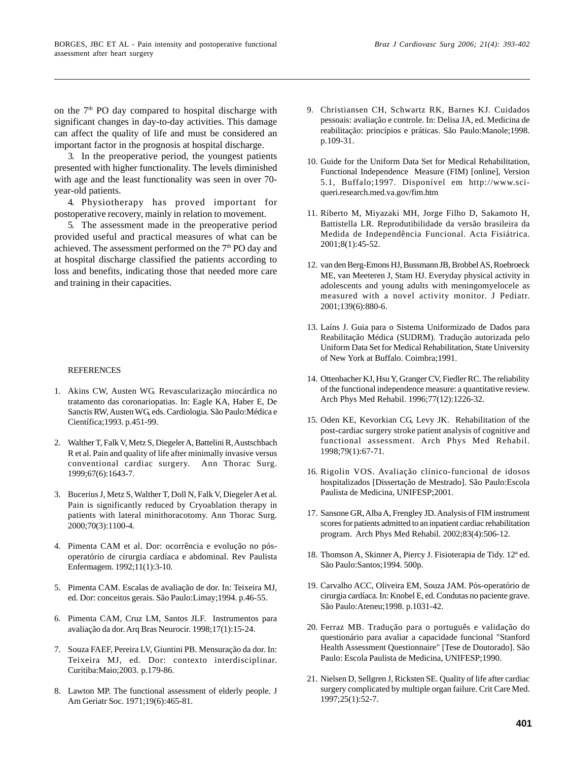important factor in the prognosis at hospital discharge. 3. In the preoperative period, the youngest patients presented with higher functionality. The levels diminished with age and the least functionality was seen in over 70 year-old patients.

4. Physiotherapy has proved important for postoperative recovery, mainly in relation to movement.

5. The assessment made in the preoperative period provided useful and practical measures of what can be achieved. The assessment performed on the 7<sup>th</sup> PO day and at hospital discharge classified the patients according to loss and benefits, indicating those that needed more care and training in their capacities.

## **REFERENCES**

- 1. Akins CW, Austen WG. Revascularização miocárdica no tratamento das coronariopatias. In: Eagle KA, Haber E, De Sanctis RW, Austen WG, eds. Cardiologia. São Paulo:Médica e Científica;1993. p.451-99.
- 2. Walther T, Falk V, Metz S, Diegeler A, Battelini R, Austschbach R et al. Pain and quality of life after minimally invasive versus conventional cardiac surgery. Ann Thorac Surg. 1999;67(6):1643-7.
- 3. Bucerius J, Metz S, Walther T, Doll N, Falk V, Diegeler A et al. Pain is significantly reduced by Cryoablation therapy in patients with lateral minithoracotomy. Ann Thorac Surg. 2000;70(3):1100-4.
- 4. Pimenta CAM et al. Dor: ocorrência e evolução no pósoperatório de cirurgia cardíaca e abdominal. Rev Paulista Enfermagem. 1992;11(1):3-10.
- 5. Pimenta CAM. Escalas de avaliação de dor. In: Teixeira MJ, ed. Dor: conceitos gerais. São Paulo:Limay;1994. p.46-55.
- 6. Pimenta CAM, Cruz LM, Santos JLF. Instrumentos para avaliação da dor. Arq Bras Neurocir. 1998;17(1):15-24.
- 7. Souza FAEF, Pereira LV, Giuntini PB. Mensuração da dor. In: Teixeira MJ, ed. Dor: contexto interdisciplinar. Curitiba:Maio;2003. p.179-86.
- 8. Lawton MP. The functional assessment of elderly people. J Am Geriatr Soc. 1971;19(6):465-81.
- 9. Christiansen CH, Schwartz RK, Barnes KJ. Cuidados pessoais: avaliação e controle. In: Delisa JA, ed. Medicina de reabilitação: princípios e práticas. São Paulo:Manole;1998. p.109-31.
- 10. Guide for the Uniform Data Set for Medical Rehabilitation, Functional Independence Measure (FIM) [online], Version 5.1, Buffalo;1997. Disponível em http://www.sciqueri.research.med.va.gov/fim.htm
- 11. Riberto M, Miyazaki MH, Jorge Filho D, Sakamoto H, Battistella LR. Reprodutibilidade da versão brasileira da Medida de Independência Funcional. Acta Fisiátrica. 2001;8(1):45-52.
- 12. van den Berg-Emons HJ, Bussmann JB, Brobbel AS, Roebroeck ME, van Meeteren J, Stam HJ. Everyday physical activity in adolescents and young adults with meningomyelocele as measured with a novel activity monitor. J Pediatr. 2001;139(6):880-6.
- 13. Laíns J. Guia para o Sistema Uniformizado de Dados para Reabilitação Médica (SUDRM). Tradução autorizada pelo Uniform Data Set for Medical Rehabilitation, State University of New York at Buffalo. Coimbra;1991.
- 14. Ottenbacher KJ, Hsu Y, Granger CV, Fiedler RC. The reliability of the functional independence measure: a quantitative review. Arch Phys Med Rehabil. 1996;77(12):1226-32.
- 15. Oden KE, Kevorkian CG, Levy JK. Rehabilitation of the post-cardiac surgery stroke patient analysis of cognitive and functional assessment. Arch Phys Med Rehabil. 1998;79(1):67-71.
- 16. Rigolin VOS. Avaliação clínico-funcional de idosos hospitalizados [Dissertação de Mestrado]. São Paulo:Escola Paulista de Medicina, UNIFESP;2001.
- 17. Sansone GR, Alba A, Frengley JD. Analysis of FIM instrument scores for patients admitted to an inpatient cardiac rehabilitation program. Arch Phys Med Rehabil. 2002;83(4):506-12.
- 18. Thomson A, Skinner A, Piercy J. Fisioterapia de Tidy. 12ª ed. São Paulo:Santos;1994. 500p.
- 19. Carvalho ACC, Oliveira EM, Souza JAM. Pós-operatório de cirurgia cardíaca. In: Knobel E, ed. Condutas no paciente grave. São Paulo:Ateneu;1998. p.1031-42.
- 20. Ferraz MB. Tradução para o português e validação do questionário para avaliar a capacidade funcional "Stanford Health Assessment Questionnaire" [Tese de Doutorado]. São Paulo: Escola Paulista de Medicina, UNIFESP;1990.
- 21. Nielsen D, Sellgren J, Ricksten SE. Quality of life after cardiac surgery complicated by multiple organ failure. Crit Care Med. 1997;25(1):52-7.